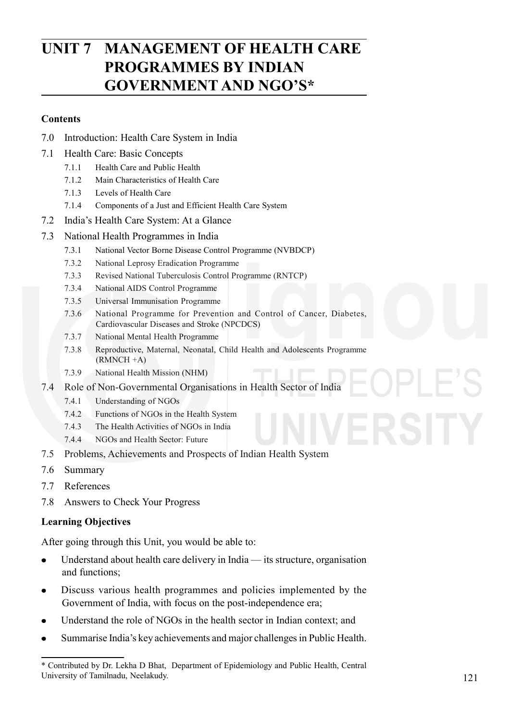# **UNIT 7 MANAGEMENT OF HEALTH CARE PROGRAMMES BY INDIAN GOVERNMENT AND NGO'S\***

#### **Contents**

- 7.0 Introduction: Health Care System in India
- 7.1 Health Care: Basic Concepts
	- 7.1.1 Health Care and Public Health
	- 7.1.2 Main Characteristics of Health Care
	- 7.1.3 Levels of Health Care
	- 7.1.4 Components of a Just and Efficient Health Care System
- 7.2 India's Health Care System: At a Glance
- 7.3 National Health Programmes in India
	- 7.3.1 National Vector Borne Disease Control Programme (NVBDCP)
	- 7.3.2 National Leprosy Eradication Programme
	- 7.3.3 Revised National Tuberculosis Control Programme (RNTCP)
	- 7.3.4 National AIDS Control Programme
	- 7.3.5 Universal Immunisation Programme
	- 7.3.6 National Programme for Prevention and Control of Cancer, Diabetes, Cardiovascular Diseases and Stroke (NPCDCS)
	- 7.3.7 National Mental Health Programme
	- 7.3.8 Reproductive, Maternal, Neonatal, Child Health and Adolescents Programme (RMNCH +A)
	- 7.3.9 National Health Mission (NHM)
- 7.4 Role of Non-Governmental Organisations in Health Sector of India
	- 7.4.1 Understanding of NGOs
	- 7.4.2 Functions of NGOs in the Health System
	- 7.4.3 The Health Activities of NGOs in India
	- 7.4.4 NGOs and Health Sector: Future
- 7.5 Problems, Achievements and Prospects of Indian Health System
- 7.6 Summary
- 7.7 References
- 7.8 Answers to Check Your Progress

### **Learning Objectives**

After going through this Unit, you would be able to:

- Understand about health care delivery in India its structure, organisation  $\bullet$ and functions;
- Discuss various health programmes and policies implemented by the  $\bullet$ Government of India, with focus on the post-independence era;
- Understand the role of NGOs in the health sector in Indian context; and
- Summarise India's key achievements and major challenges in Public Health.

<sup>\*</sup> Contributed by Dr. Lekha D Bhat, Department of Epidemiology and Public Health, Central University of Tamilnadu, Neelakudy.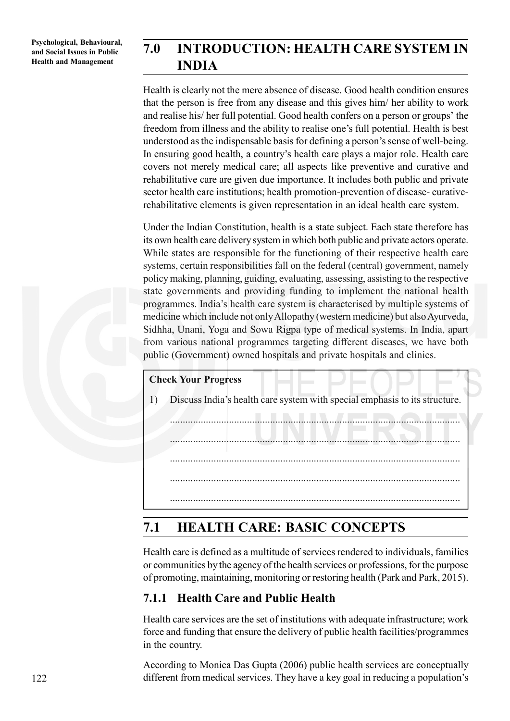# **7.0 INTRODUCTION: HEALTH CARE SYSTEM IN INDIA**

Health is clearly not the mere absence of disease. Good health condition ensures that the person is free from any disease and this gives him/ her ability to work and realise his/ her full potential. Good health confers on a person or groups' the freedom from illness and the ability to realise one's full potential. Health is best understood as the indispensable basis for defining a person's sense of well-being. In ensuring good health, a country's health care plays a major role. Health care covers not merely medical care; all aspects like preventive and curative and rehabilitative care are given due importance. It includes both public and private sector health care institutions; health promotion-prevention of disease- curativerehabilitative elements is given representation in an ideal health care system.

Under the Indian Constitution, health is a state subject. Each state therefore has its own health care delivery system in which both public and private actors operate. While states are responsible for the functioning of their respective health care systems, certain responsibilities fall on the federal (central) government, namely policy making, planning, guiding, evaluating, assessing, assisting to the respective state governments and providing funding to implement the national health programmes. India's health care system is characterised by multiple systems of medicine which include not only Allopathy (western medicine) but also Ayurveda, Sidhha, Unani, Yoga and Sowa Rigpa type of medical systems. In India, apart from various national programmes targeting different diseases, we have both public (Government) owned hospitals and private hospitals and clinics.

### **Check Your Progress**

1) Discuss India's health care system with special emphasis to its structure.

.................................................................................................................

.................................................................................................................

.................................................................................................................

.................................................................................................................

.................................................................................................................

# **7.1 HEALTH CARE: BASIC CONCEPTS**

Health care is defined as a multitude of services rendered to individuals, families or communities by the agency of the health services or professions, for the purpose of promoting, maintaining, monitoring or restoring health (Park and Park, 2015).

## **7.1.1 Health Care and Public Health**

Health care services are the set of institutions with adequate infrastructure; work force and funding that ensure the delivery of public health facilities/programmes in the country.

According to Monica Das Gupta (2006) public health services are conceptually different from medical services. They have a key goal in reducing a population's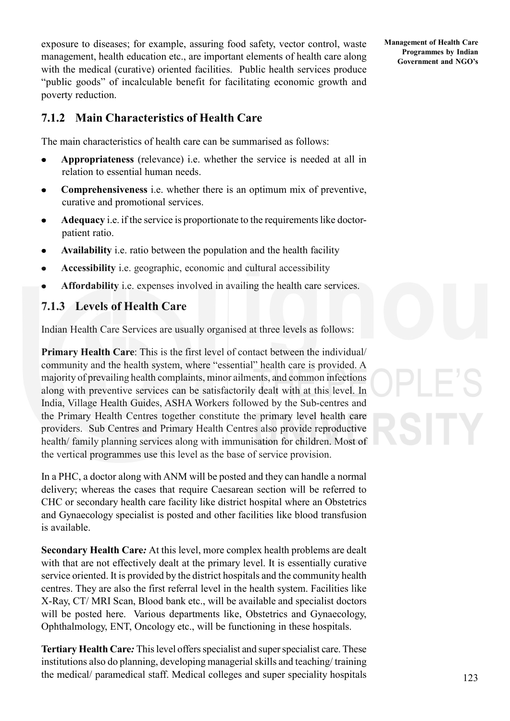exposure to diseases; for example, assuring food safety, vector control, waste management, health education etc., are important elements of health care along with the medical (curative) oriented facilities. Public health services produce "public goods" of incalculable benefit for facilitating economic growth and poverty reduction.

## **7.1.2 Main Characteristics of Health Care**

The main characteristics of health care can be summarised as follows:

- **Appropriateness** (relevance) i.e. whether the service is needed at all in relation to essential human needs.
- **Comprehensiveness** i.e. whether there is an optimum mix of preventive, curative and promotional services.
- **Adequacy** i.e. if the service is proportionate to the requirements like doctorpatient ratio.
- **Availability** i.e. ratio between the population and the health facility
- **Accessibility** i.e. geographic, economic and cultural accessibility  $\bullet$
- **Affordability** i.e. expenses involved in availing the health care services.

# **7.1.3 Levels of Health Care**

Indian Health Care Services are usually organised at three levels as follows:

**Primary Health Care**: This is the first level of contact between the individual/ community and the health system, where "essential" health care is provided. A majority of prevailing health complaints, minor ailments, and common infections along with preventive services can be satisfactorily dealt with at this level. In India, Village Health Guides, ASHA Workers followed by the Sub-centres and the Primary Health Centres together constitute the primary level health care providers. Sub Centres and Primary Health Centres also provide reproductive health/ family planning services along with immunisation for children. Most of the vertical programmes use this level as the base of service provision.

In a PHC, a doctor along with ANM will be posted and they can handle a normal delivery; whereas the cases that require Caesarean section will be referred to CHC or secondary health care facility like district hospital where an Obstetrics and Gynaecology specialist is posted and other facilities like blood transfusion is available.

**Secondary Health Care***:* At this level, more complex health problems are dealt with that are not effectively dealt at the primary level. It is essentially curative service oriented. It is provided by the district hospitals and the community health centres. They are also the first referral level in the health system. Facilities like X-Ray, CT/ MRI Scan, Blood bank etc., will be available and specialist doctors will be posted here. Various departments like, Obstetrics and Gynaecology, Ophthalmology, ENT, Oncology etc., will be functioning in these hospitals.

**Tertiary Health Care***:* This level offers specialist and super specialist care. These institutions also do planning, developing managerial skills and teaching/ training the medical/ paramedical staff. Medical colleges and super speciality hospitals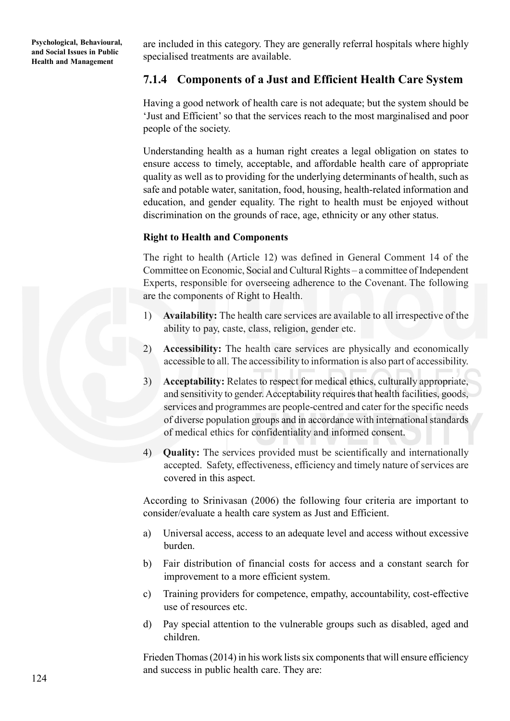are included in this category. They are generally referral hospitals where highly specialised treatments are available.

## **7.1.4 Components of a Just and Efficient Health Care System**

Having a good network of health care is not adequate; but the system should be 'Just and Efficient' so that the services reach to the most marginalised and poor people of the society.

Understanding health as a human right creates a legal obligation on states to ensure access to timely, acceptable, and affordable health care of appropriate quality as well as to providing for the underlying determinants of health, such as safe and potable water, sanitation, food, housing, health-related information and education, and gender equality. The right to health must be enjoyed without discrimination on the grounds of race, age, ethnicity or any other status.

#### **Right to Health and Components**

The right to health (Article 12) was defined in General Comment 14 of the Committee on Economic, Social and Cultural Rights – a committee of Independent Experts, responsible for overseeing adherence to the Covenant. The following are the components of Right to Health.

- 1) **Availability:** The health care services are available to all irrespective of the ability to pay, caste, class, religion, gender etc.
- 2) **Accessibility:** The health care services are physically and economically accessible to all. The accessibility to information is also part of accessibility.
- 3) **Acceptability:** Relates to respect for medical ethics, culturally appropriate, and sensitivity to gender. Acceptability requires that health facilities, goods, services and programmes are people-centred and cater for the specific needs of diverse population groups and in accordance with international standards of medical ethics for confidentiality and informed consent.
- 4) **Quality:** The services provided must be scientifically and internationally accepted. Safety, effectiveness, efficiency and timely nature of services are covered in this aspect.

According to Srinivasan (2006) the following four criteria are important to consider/evaluate a health care system as Just and Efficient.

- a) Universal access, access to an adequate level and access without excessive burden.
- b) Fair distribution of financial costs for access and a constant search for improvement to a more efficient system.
- c) Training providers for competence, empathy, accountability, cost-effective use of resources etc.
- d) Pay special attention to the vulnerable groups such as disabled, aged and children.

Frieden Thomas (2014) in his work lists six components that will ensure efficiency and success in public health care. They are: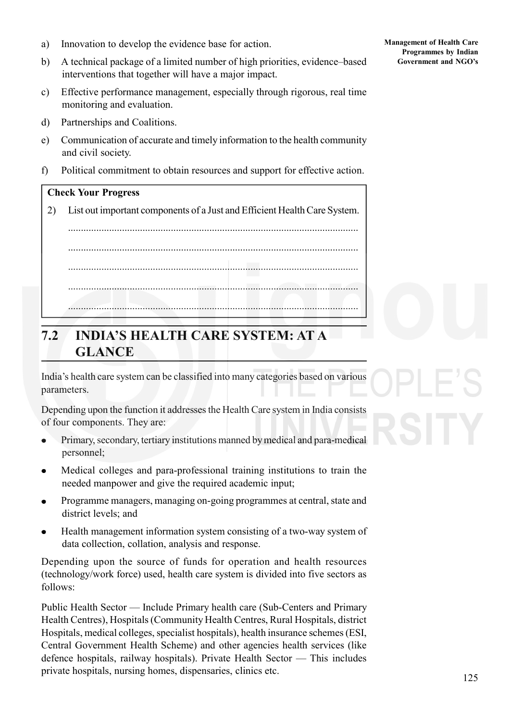- a) Innovation to develop the evidence base for action.
- b) A technical package of a limited number of high priorities, evidence–based interventions that together will have a major impact.
- c) Effective performance management, especially through rigorous, real time monitoring and evaluation.
- d) Partnerships and Coalitions.
- e) Communication of accurate and timely information to the health community and civil society.
- f) Political commitment to obtain resources and support for effective action.

### **Check Your Progress**

2) List out important components of a Just and Efficient Health Care System.

................................................................................................................. ................................................................................................................. ................................................................................................................. ................................................................................................................. .................................................................................................................

# **7.2 INDIA'S HEALTH CARE SYSTEM: AT A GLANCE**

India's health care system can be classified into many categories based on various parameters.

Depending upon the function it addresses the Health Care system in India consists of four components. They are:

- $\bullet$ Primary, secondary, tertiary institutions manned by medical and para-medical personnel;
- Medical colleges and para-professional training institutions to train the needed manpower and give the required academic input;
- Programme managers, managing on-going programmes at central, state and district levels; and
- Health management information system consisting of a two-way system of data collection, collation, analysis and response.

Depending upon the source of funds for operation and health resources (technology/work force) used, health care system is divided into five sectors as follows:

Public Health Sector — Include Primary health care (Sub-Centers and Primary Health Centres), Hospitals (Community Health Centres, Rural Hospitals, district Hospitals, medical colleges, specialist hospitals), health insurance schemes (ESI, Central Government Health Scheme) and other agencies health services (like defence hospitals, railway hospitals). Private Health Sector — This includes private hospitals, nursing homes, dispensaries, clinics etc.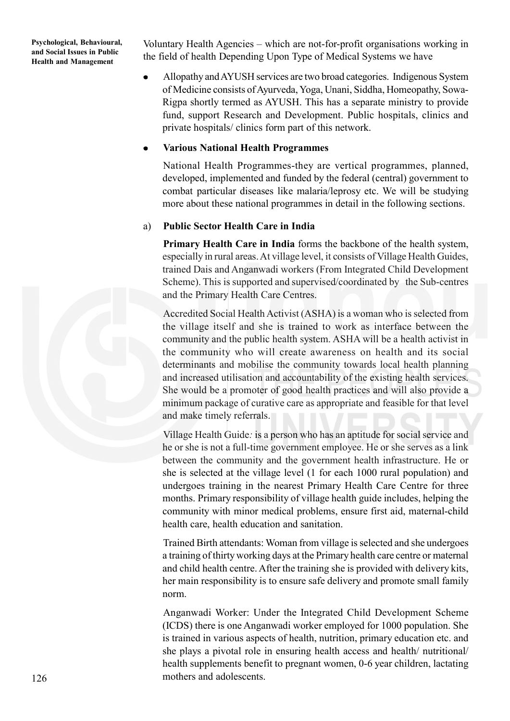Voluntary Health Agencies – which are not-for-profit organisations working in the field of health Depending Upon Type of Medical Systems we have

Allopathy and AYUSH services are two broad categories. Indigenous System of Medicine consists of Ayurveda, Yoga, Unani, Siddha, Homeopathy, Sowa-Rigpa shortly termed as AYUSH. This has a separate ministry to provide fund, support Research and Development. Public hospitals, clinics and private hospitals/ clinics form part of this network.

#### **Various National Health Programmes**

National Health Programmes-they are vertical programmes, planned, developed, implemented and funded by the federal (central) government to combat particular diseases like malaria/leprosy etc. We will be studying more about these national programmes in detail in the following sections.

#### a) **Public Sector Health Care in India**

**Primary Health Care in India** forms the backbone of the health system, especially in rural areas. At village level, it consists of Village Health Guides, trained Dais and Anganwadi workers (From Integrated Child Development Scheme). This is supported and supervised/coordinated by the Sub-centres and the Primary Health Care Centres.

Accredited Social Health Activist (ASHA) is a woman who is selected from the village itself and she is trained to work as interface between the community and the public health system. ASHA will be a health activist in the community who will create awareness on health and its social determinants and mobilise the community towards local health planning and increased utilisation and accountability of the existing health services. She would be a promoter of good health practices and will also provide a minimum package of curative care as appropriate and feasible for that level and make timely referrals.

Village Health Guide*:* is a person who has an aptitude for social service and he or she is not a full-time government employee. He or she serves as a link between the community and the government health infrastructure. He or she is selected at the village level (1 for each 1000 rural population) and undergoes training in the nearest Primary Health Care Centre for three months. Primary responsibility of village health guide includes, helping the community with minor medical problems, ensure first aid, maternal-child health care, health education and sanitation.

Trained Birth attendants: Woman from village is selected and she undergoes a training of thirty working days at the Primary health care centre or maternal and child health centre. After the training she is provided with delivery kits, her main responsibility is to ensure safe delivery and promote small family norm.

Anganwadi Worker: Under the Integrated Child Development Scheme (ICDS) there is one Anganwadi worker employed for 1000 population. She is trained in various aspects of health, nutrition, primary education etc. and she plays a pivotal role in ensuring health access and health/ nutritional/ health supplements benefit to pregnant women, 0-6 year children, lactating mothers and adolescents.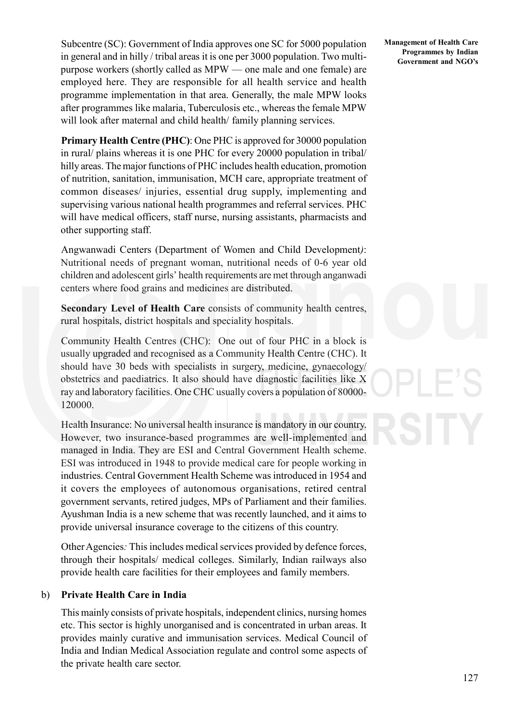Subcentre (SC): Government of India approves one SC for 5000 population in general and in hilly / tribal areas it is one per 3000 population. Two multipurpose workers (shortly called as MPW — one male and one female) are employed here. They are responsible for all health service and health programme implementation in that area. Generally, the male MPW looks after programmes like malaria, Tuberculosis etc., whereas the female MPW will look after maternal and child health/ family planning services.

**Primary Health Centre (PHC)**: One PHC is approved for 30000 population in rural/ plains whereas it is one PHC for every 20000 population in tribal/ hilly areas. The major functions of PHC includes health education, promotion of nutrition, sanitation, immunisation, MCH care, appropriate treatment of common diseases/ injuries, essential drug supply, implementing and supervising various national health programmes and referral services. PHC will have medical officers, staff nurse, nursing assistants, pharmacists and other supporting staff.

Angwanwadi Centers (Department of Women and Child Development*)*: Nutritional needs of pregnant woman, nutritional needs of 0-6 year old children and adolescent girls' health requirements are met through anganwadi centers where food grains and medicines are distributed.

**Secondary Level of Health Care** consists of community health centres, rural hospitals, district hospitals and speciality hospitals.

Community Health Centres (CHC): One out of four PHC in a block is usually upgraded and recognised as a Community Health Centre (CHC). It should have 30 beds with specialists in surgery, medicine, gynaecology/ obstetrics and paediatrics. It also should have diagnostic facilities like X ray and laboratory facilities. One CHC usually covers a population of 80000- 120000.

Health Insurance: No universal health insurance is mandatory in our country. However, two insurance-based programmes are well-implemented and managed in India. They are ESI and Central Government Health scheme. ESI was introduced in 1948 to provide medical care for people working in industries. Central Government Health Scheme was introduced in 1954 and it covers the employees of autonomous organisations, retired central government servants, retired judges, MPs of Parliament and their families. Ayushman India is a new scheme that was recently launched, and it aims to provide universal insurance coverage to the citizens of this country.

Other Agencies*:* This includes medical services provided by defence forces, through their hospitals/ medical colleges. Similarly, Indian railways also provide health care facilities for their employees and family members.

#### b) **Private Health Care in India**

This mainly consists of private hospitals, independent clinics, nursing homes etc. This sector is highly unorganised and is concentrated in urban areas. It provides mainly curative and immunisation services. Medical Council of India and Indian Medical Association regulate and control some aspects of the private health care sector.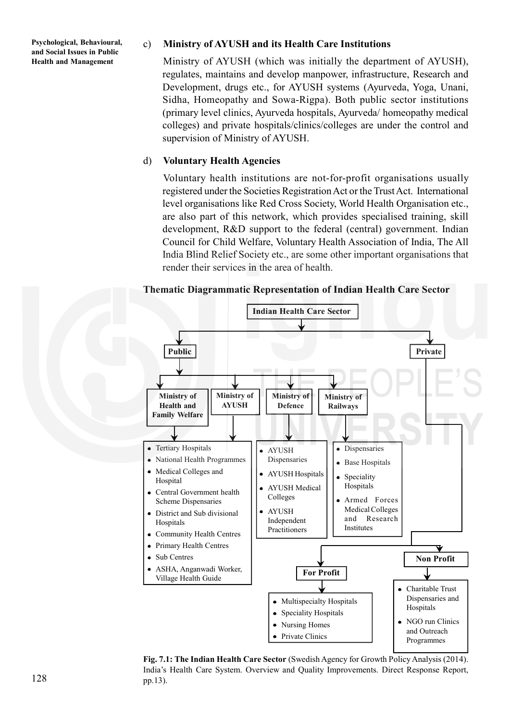#### c) **Ministry of AYUSH and its Health Care Institutions**

Ministry of AYUSH (which was initially the department of AYUSH), regulates, maintains and develop manpower, infrastructure, Research and Development, drugs etc., for AYUSH systems (Ayurveda, Yoga, Unani, Sidha, Homeopathy and Sowa-Rigpa). Both public sector institutions (primary level clinics, Ayurveda hospitals, Ayurveda/ homeopathy medical colleges) and private hospitals/clinics/colleges are under the control and supervision of Ministry of AYUSH.

#### d) **Voluntary Health Agencies**

Voluntary health institutions are not-for-profit organisations usually registered under the Societies Registration Act or the Trust Act. International level organisations like Red Cross Society, World Health Organisation etc., are also part of this network, which provides specialised training, skill development, R&D support to the federal (central) government. Indian Council for Child Welfare, Voluntary Health Association of India, The All India Blind Relief Society etc., are some other important organisations that render their services in the area of health.

#### **Thematic Diagrammatic Representation of Indian Health Care Sector**



**Fig. 7.1: The Indian Health Care Sector** (Swedish Agency for Growth Policy Analysis (2014). India's Health Care System. Overview and Quality Improvements. Direct Response Report, pp.13).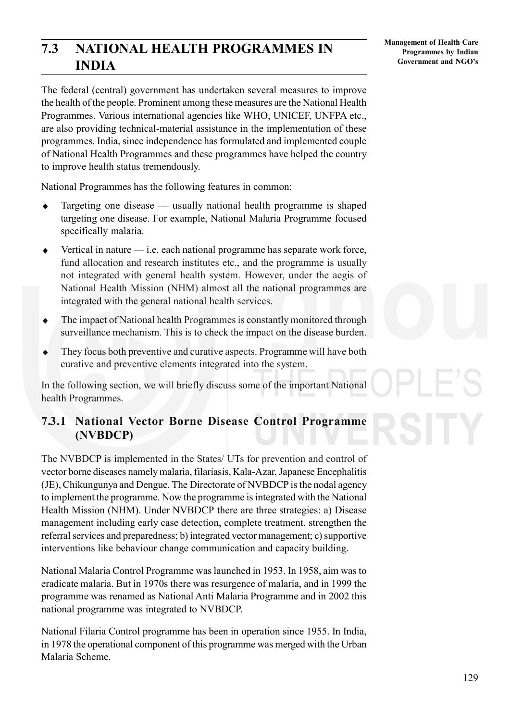# **7.3 NATIONAL HEALTH PROGRAMMES IN INDIA**

The federal (central) government has undertaken several measures to improve the health of the people. Prominent among these measures are the National Health Programmes. Various international agencies like WHO, UNICEF, UNFPA etc., are also providing technical-material assistance in the implementation of these programmes. India, since independence has formulated and implemented couple of National Health Programmes and these programmes have helped the country to improve health status tremendously.

National Programmes has the following features in common:

- Targeting one disease usually national health programme is shaped ٠ targeting one disease. For example, National Malaria Programme focused specifically malaria.
- Vertical in nature i.e. each national programme has separate work force, fund allocation and research institutes etc., and the programme is usually not integrated with general health system. However, under the aegis of National Health Mission (NHM) almost all the national programmes are integrated with the general national health services.
- The impact of National health Programmes is constantly monitored through surveillance mechanism. This is to check the impact on the disease burden.
- They focus both preventive and curative aspects. Programme will have both curative and preventive elements integrated into the system.

In the following section, we will briefly discuss some of the important National health Programmes.

## **7.3.1 National Vector Borne Disease Control Programme (NVBDCP)**

The NVBDCP is implemented in the States/ UTs for prevention and control of vector borne diseases namely malaria, filariasis, Kala-Azar, Japanese Encephalitis (JE), Chikungunya and Dengue. The Directorate of NVBDCP is the nodal agency to implement the programme. Now the programme is integrated with the National Health Mission (NHM). Under NVBDCP there are three strategies: a) Disease management including early case detection, complete treatment, strengthen the referral services and preparedness; b) integrated vector management; c) supportive interventions like behaviour change communication and capacity building.

National Malaria Control Programme was launched in 1953. In 1958, aim was to eradicate malaria. But in 1970s there was resurgence of malaria, and in 1999 the programme was renamed as National Anti Malaria Programme and in 2002 this national programme was integrated to NVBDCP.

National Filaria Control programme has been in operation since 1955. In India, in 1978 the operational component of this programme was merged with the Urban Malaria Scheme.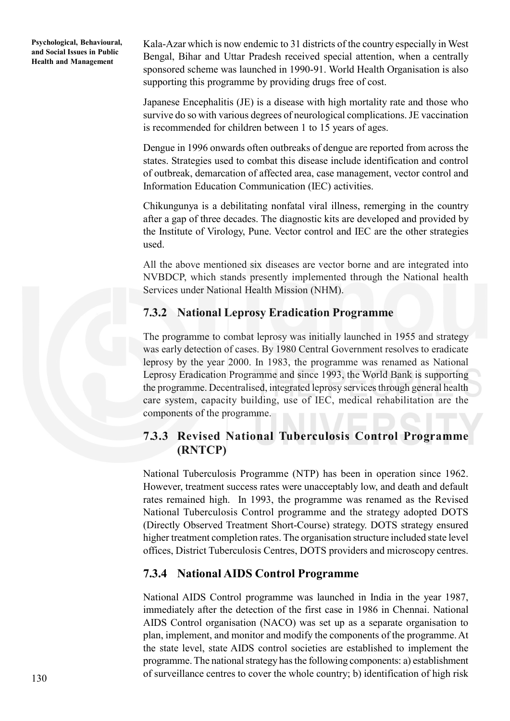Kala-Azar which is now endemic to 31 districts of the country especially in West Bengal, Bihar and Uttar Pradesh received special attention, when a centrally sponsored scheme was launched in 1990-91. World Health Organisation is also supporting this programme by providing drugs free of cost.

Japanese Encephalitis (JE) is a disease with high mortality rate and those who survive do so with various degrees of neurological complications. JE vaccination is recommended for children between 1 to 15 years of ages.

Dengue in 1996 onwards often outbreaks of dengue are reported from across the states. Strategies used to combat this disease include identification and control of outbreak, demarcation of affected area, case management, vector control and Information Education Communication (IEC) activities.

Chikungunya is a debilitating nonfatal viral illness, remerging in the country after a gap of three decades. The diagnostic kits are developed and provided by the Institute of Virology, Pune. Vector control and IEC are the other strategies used.

All the above mentioned six diseases are vector borne and are integrated into NVBDCP, which stands presently implemented through the National health Services under National Health Mission (NHM).

## **7.3.2 National Leprosy Eradication Programme**

The programme to combat leprosy was initially launched in 1955 and strategy was early detection of cases. By 1980 Central Government resolves to eradicate leprosy by the year 2000. In 1983, the programme was renamed as National Leprosy Eradication Programme and since 1993, the World Bank is supporting the programme. Decentralised, integrated leprosy services through general health care system, capacity building, use of IEC, medical rehabilitation are the components of the programme.

## **7.3.3 Revised National Tuberculosis Control Programme (RNTCP)**

National Tuberculosis Programme (NTP) has been in operation since 1962. However, treatment success rates were unacceptably low, and death and default rates remained high. In 1993, the programme was renamed as the Revised National Tuberculosis Control programme and the strategy adopted DOTS (Directly Observed Treatment Short-Course) strategy. DOTS strategy ensured higher treatment completion rates. The organisation structure included state level offices, District Tuberculosis Centres, DOTS providers and microscopy centres.

### **7.3.4 National AIDS Control Programme**

National AIDS Control programme was launched in India in the year 1987, immediately after the detection of the first case in 1986 in Chennai. National AIDS Control organisation (NACO) was set up as a separate organisation to plan, implement, and monitor and modify the components of the programme. At the state level, state AIDS control societies are established to implement the programme. The national strategy has the following components: a) establishment of surveillance centres to cover the whole country; b) identification of high risk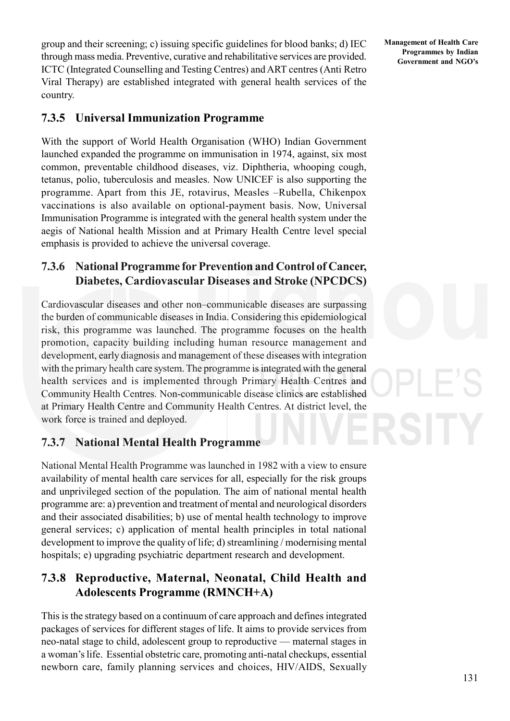group and their screening; c) issuing specific guidelines for blood banks; d) IEC through mass media. Preventive, curative and rehabilitative services are provided. ICTC (Integrated Counselling and Testing Centres) and ART centres (Anti Retro Viral Therapy) are established integrated with general health services of the country.

## **7.3.5 Universal Immunization Programme**

With the support of World Health Organisation (WHO) Indian Government launched expanded the programme on immunisation in 1974, against, six most common, preventable childhood diseases, viz. Diphtheria, whooping cough, tetanus, polio, tuberculosis and measles. Now UNICEF is also supporting the programme. Apart from this JE, rotavirus, Measles –Rubella, Chikenpox vaccinations is also available on optional-payment basis. Now, Universal Immunisation Programme is integrated with the general health system under the aegis of National health Mission and at Primary Health Centre level special emphasis is provided to achieve the universal coverage.

# **7.3.6 National Programme for Prevention and Control of Cancer, Diabetes, Cardiovascular Diseases and Stroke (NPCDCS)**

Cardiovascular diseases and other non–communicable diseases are surpassing the burden of communicable diseases in India. Considering this epidemiological risk, this programme was launched. The programme focuses on the health promotion, capacity building including human resource management and development, early diagnosis and management of these diseases with integration with the primary health care system. The programme is integrated with the general health services and is implemented through Primary Health Centres and Community Health Centres. Non-communicable disease clinics are established at Primary Health Centre and Community Health Centres. At district level, the work force is trained and deployed.

# **7.3.7 National Mental Health Programme**

National Mental Health Programme was launched in 1982 with a view to ensure availability of mental health care services for all, especially for the risk groups and unprivileged section of the population. The aim of national mental health programme are: a) prevention and treatment of mental and neurological disorders and their associated disabilities; b) use of mental health technology to improve general services; c) application of mental health principles in total national development to improve the quality of life; d) streamlining / modernising mental hospitals; e) upgrading psychiatric department research and development.

# **7.3.8 Reproductive, Maternal, Neonatal, Child Health and Adolescents Programme (RMNCH+A)**

This is the strategy based on a continuum of care approach and defines integrated packages of services for different stages of life. It aims to provide services from neo-natal stage to child, adolescent group to reproductive — maternal stages in a woman's life. Essential obstetric care, promoting anti-natal checkups, essential newborn care, family planning services and choices, HIV/AIDS, Sexually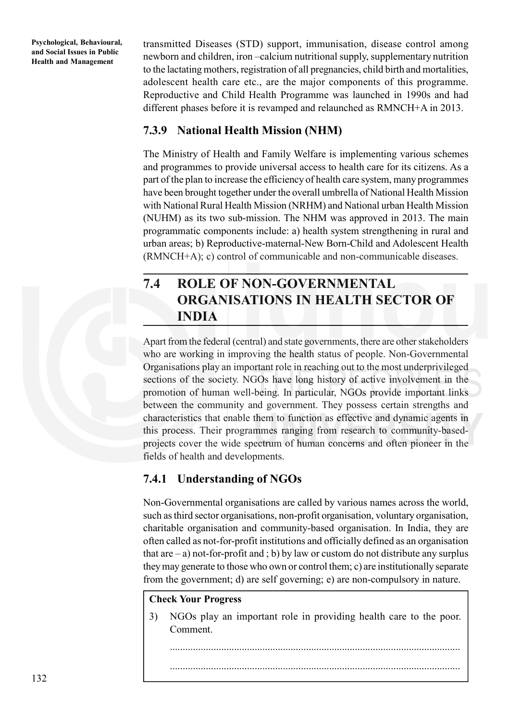transmitted Diseases (STD) support, immunisation, disease control among newborn and children, iron –calcium nutritional supply, supplementary nutrition to the lactating mothers, registration of all pregnancies, child birth and mortalities, adolescent health care etc., are the major components of this programme. Reproductive and Child Health Programme was launched in 1990s and had different phases before it is revamped and relaunched as RMNCH+A in 2013.

## **7.3.9 National Health Mission (NHM)**

The Ministry of Health and Family Welfare is implementing various schemes and programmes to provide universal access to health care for its citizens. As a part of the plan to increase the efficiency of health care system, many programmes have been brought together under the overall umbrella of National Health Mission with National Rural Health Mission (NRHM) and National urban Health Mission (NUHM) as its two sub-mission. The NHM was approved in 2013. The main programmatic components include: a) health system strengthening in rural and urban areas; b) Reproductive-maternal-New Born-Child and Adolescent Health (RMNCH+A); c) control of communicable and non-communicable diseases.

# **7.4 ROLE OF NON-GOVERNMENTAL ORGANISATIONS IN HEALTH SECTOR OF INDIA**

Apart from the federal (central) and state governments, there are other stakeholders who are working in improving the health status of people. Non-Governmental Organisations play an important role in reaching out to the most underprivileged sections of the society. NGOs have long history of active involvement in the promotion of human well-being. In particular, NGOs provide important links between the community and government. They possess certain strengths and characteristics that enable them to function as effective and dynamic agents in this process. Their programmes ranging from research to community-basedprojects cover the wide spectrum of human concerns and often pioneer in the fields of health and developments.

## **7.4.1 Understanding of NGOs**

Non-Governmental organisations are called by various names across the world, such as third sector organisations, non-profit organisation, voluntary organisation, charitable organisation and community-based organisation. In India, they are often called as not-for-profit institutions and officially defined as an organisation that are  $-$  a) not-for-profit and ; b) by law or custom do not distribute any surplus they may generate to those who own or control them; c) are institutionally separate from the government; d) are self governing; e) are non-compulsory in nature.

#### **Check Your Progress**

3) NGOs play an important role in providing health care to the poor. Comment.

.................................................................................................................

.................................................................................................................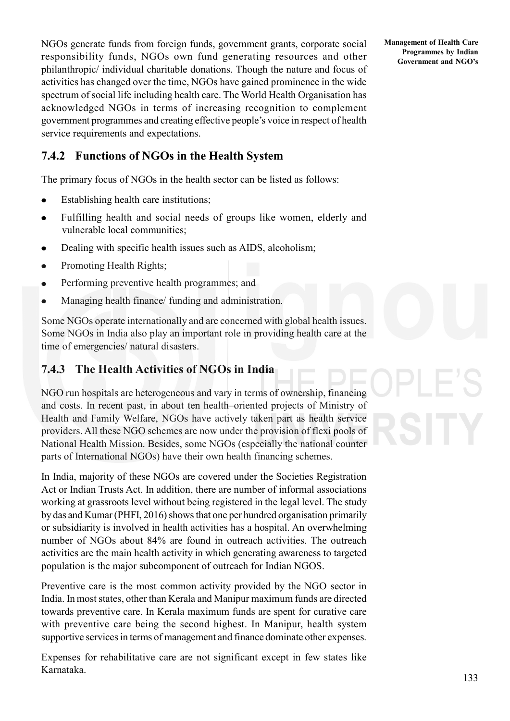NGOs generate funds from foreign funds, government grants, corporate social responsibility funds, NGOs own fund generating resources and other philanthropic/ individual charitable donations. Though the nature and focus of activities has changed over the time, NGOs have gained prominence in the wide spectrum of social life including health care. The World Health Organisation has acknowledged NGOs in terms of increasing recognition to complement government programmes and creating effective people's voice in respect of health service requirements and expectations.

# **7.4.2 Functions of NGOs in the Health System**

The primary focus of NGOs in the health sector can be listed as follows:

- Establishing health care institutions;  $\bullet$
- Fulfilling health and social needs of groups like women, elderly and  $\bullet$ vulnerable local communities;
- Dealing with specific health issues such as AIDS, alcoholism;  $\bullet$
- $\bullet$ Promoting Health Rights;
- Performing preventive health programmes; and  $\bullet$
- Managing health finance/ funding and administration.

Some NGOs operate internationally and are concerned with global health issues. Some NGOs in India also play an important role in providing health care at the time of emergencies/ natural disasters.

# **7.4.3 The Health Activities of NGOs in India**

NGO run hospitals are heterogeneous and vary in terms of ownership, financing and costs. In recent past, in about ten health–oriented projects of Ministry of Health and Family Welfare, NGOs have actively taken part as health service providers. All these NGO schemes are now under the provision of flexi pools of National Health Mission. Besides, some NGOs (especially the national counter parts of International NGOs) have their own health financing schemes.

In India, majority of these NGOs are covered under the Societies Registration Act or Indian Trusts Act. In addition, there are number of informal associations working at grassroots level without being registered in the legal level. The study by das and Kumar (PHFI, 2016) shows that one per hundred organisation primarily or subsidiarity is involved in health activities has a hospital. An overwhelming number of NGOs about 84% are found in outreach activities. The outreach activities are the main health activity in which generating awareness to targeted population is the major subcomponent of outreach for Indian NGOS.

Preventive care is the most common activity provided by the NGO sector in India. In most states, other than Kerala and Manipur maximum funds are directed towards preventive care. In Kerala maximum funds are spent for curative care with preventive care being the second highest. In Manipur, health system supportive services in terms of management and finance dominate other expenses.

Expenses for rehabilitative care are not significant except in few states like Karnataka.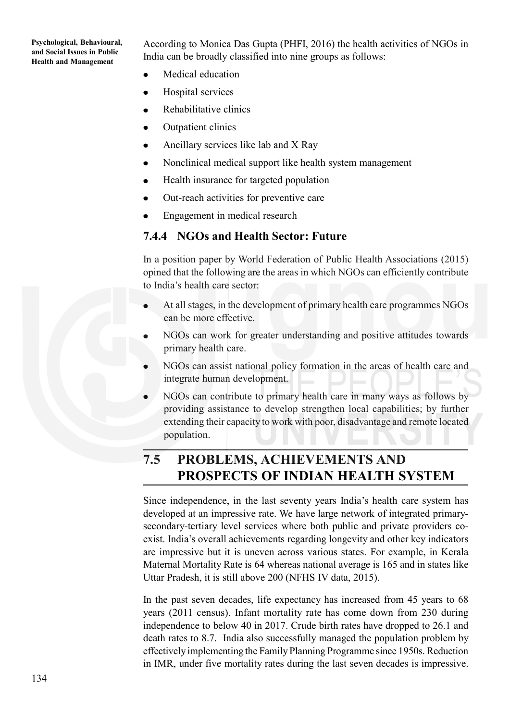According to Monica Das Gupta (PHFI, 2016) the health activities of NGOs in India can be broadly classified into nine groups as follows:

- Medical education
- Hospital services  $\bullet$
- Rehabilitative clinics  $\bullet$
- Outpatient clinics
- Ancillary services like lab and X Ray
- Nonclinical medical support like health system management  $\bullet$
- Health insurance for targeted population  $\bullet$
- Out-reach activities for preventive care
- Engagement in medical research

#### **7.4.4 NGOs and Health Sector: Future**

In a position paper by World Federation of Public Health Associations (2015) opined that the following are the areas in which NGOs can efficiently contribute to India's health care sector:

- At all stages, in the development of primary health care programmes NGOs can be more effective.
- NGOs can work for greater understanding and positive attitudes towards primary health care.
- NGOs can assist national policy formation in the areas of health care and integrate human development.
- NGOs can contribute to primary health care in many ways as follows by providing assistance to develop strengthen local capabilities; by further extending their capacity to work with poor, disadvantage and remote located population.

# **7.5 PROBLEMS, ACHIEVEMENTS AND PROSPECTS OF INDIAN HEALTH SYSTEM**

Since independence, in the last seventy years India's health care system has developed at an impressive rate. We have large network of integrated primarysecondary-tertiary level services where both public and private providers coexist. India's overall achievements regarding longevity and other key indicators are impressive but it is uneven across various states. For example, in Kerala Maternal Mortality Rate is 64 whereas national average is 165 and in states like Uttar Pradesh, it is still above 200 (NFHS IV data, 2015).

In the past seven decades, life expectancy has increased from 45 years to 68 years (2011 census). Infant mortality rate has come down from 230 during independence to below 40 in 2017. Crude birth rates have dropped to 26.1 and death rates to 8.7. India also successfully managed the population problem by effectively implementing the Family Planning Programme since 1950s. Reduction in IMR, under five mortality rates during the last seven decades is impressive.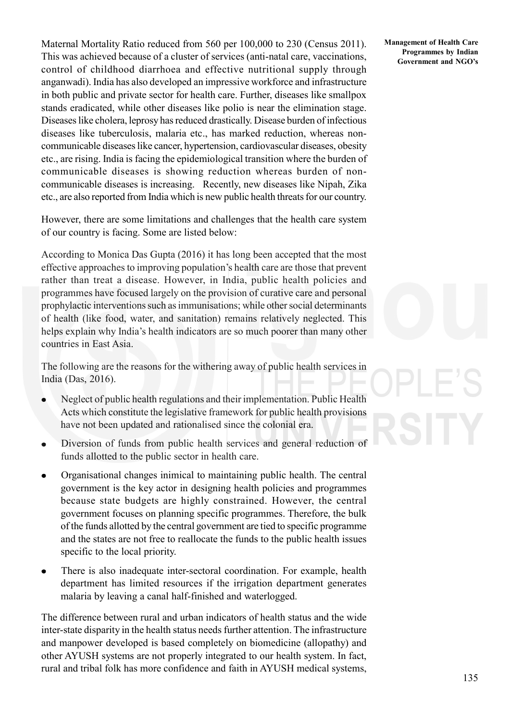Maternal Mortality Ratio reduced from 560 per 100,000 to 230 (Census 2011). This was achieved because of a cluster of services (anti-natal care, vaccinations, control of childhood diarrhoea and effective nutritional supply through anganwadi). India has also developed an impressive workforce and infrastructure in both public and private sector for health care. Further, diseases like smallpox stands eradicated, while other diseases like polio is near the elimination stage. Diseases like cholera, leprosy has reduced drastically. Disease burden of infectious diseases like tuberculosis, malaria etc., has marked reduction, whereas noncommunicable diseases like cancer, hypertension, cardiovascular diseases, obesity etc., are rising. India is facing the epidemiological transition where the burden of communicable diseases is showing reduction whereas burden of noncommunicable diseases is increasing. Recently, new diseases like Nipah, Zika etc., are also reported from India which is new public health threats for our country.

However, there are some limitations and challenges that the health care system of our country is facing. Some are listed below:

According to Monica Das Gupta (2016) it has long been accepted that the most effective approaches to improving population's health care are those that prevent rather than treat a disease. However, in India, public health policies and programmes have focused largely on the provision of curative care and personal prophylactic interventions such as immunisations; while other social determinants of health (like food, water, and sanitation) remains relatively neglected. This helps explain why India's health indicators are so much poorer than many other countries in East Asia.

The following are the reasons for the withering away of public health services in India (Das, 2016).

- Neglect of public health regulations and their implementation. Public Health Acts which constitute the legislative framework for public health provisions have not been updated and rationalised since the colonial era.
- Diversion of funds from public health services and general reduction of funds allotted to the public sector in health care.
- Organisational changes inimical to maintaining public health. The central government is the key actor in designing health policies and programmes because state budgets are highly constrained. However, the central government focuses on planning specific programmes. Therefore, the bulk of the funds allotted by the central government are tied to specific programme and the states are not free to reallocate the funds to the public health issues specific to the local priority.
- There is also inadequate inter-sectoral coordination. For example, health department has limited resources if the irrigation department generates malaria by leaving a canal half-finished and waterlogged.

The difference between rural and urban indicators of health status and the wide inter-state disparity in the health status needs further attention. The infrastructure and manpower developed is based completely on biomedicine (allopathy) and other AYUSH systems are not properly integrated to our health system. In fact, rural and tribal folk has more confidence and faith in AYUSH medical systems,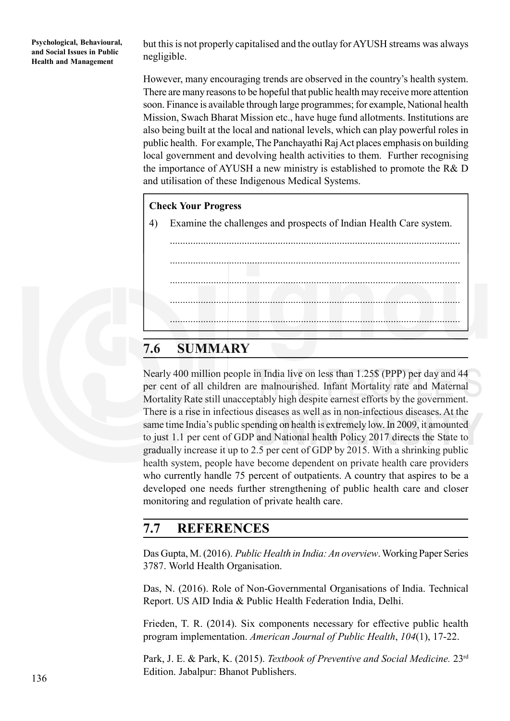but this is not properly capitalised and the outlay for AYUSH streams was always negligible.

However, many encouraging trends are observed in the country's health system. There are many reasons to be hopeful that public health may receive more attention soon. Finance is available through large programmes; for example, National health Mission, Swach Bharat Mission etc., have huge fund allotments. Institutions are also being built at the local and national levels, which can play powerful roles in public health. For example, The Panchayathi Raj Act places emphasis on building local government and devolving health activities to them. Further recognising the importance of AYUSH a new ministry is established to promote the R& D and utilisation of these Indigenous Medical Systems.

#### **Check Your Progress**

4) Examine the challenges and prospects of Indian Health Care system.

................................................................................................................. ................................................................................................................. ................................................................................................................. ................................................................................................................. .................................................................................................................

# **7.6 SUMMARY**

Nearly 400 million people in India live on less than 1.25\$ (PPP) per day and 44 per cent of all children are malnourished. Infant Mortality rate and Maternal Mortality Rate still unacceptably high despite earnest efforts by the government. There is a rise in infectious diseases as well as in non-infectious diseases. At the same time India's public spending on health is extremely low. In 2009, it amounted to just 1.1 per cent of GDP and National health Policy 2017 directs the State to gradually increase it up to 2.5 per cent of GDP by 2015. With a shrinking public health system, people have become dependent on private health care providers who currently handle 75 percent of outpatients. A country that aspires to be a developed one needs further strengthening of public health care and closer monitoring and regulation of private health care.

# **7.7 REFERENCES**

Das Gupta, M. (2016). *Public Health in India: An overview*. Working Paper Series 3787. World Health Organisation.

Das, N. (2016). Role of Non-Governmental Organisations of India. Technical Report. US AID India & Public Health Federation India, Delhi.

Frieden, T. R. (2014). Six components necessary for effective public health program implementation. *American Journal of Public Health*, *104*(1), 17-22.

Park, J. E. & Park, K. (2015). *Textbook of Preventive and Social Medicine.* 23rd Edition. Jabalpur: Bhanot Publishers.